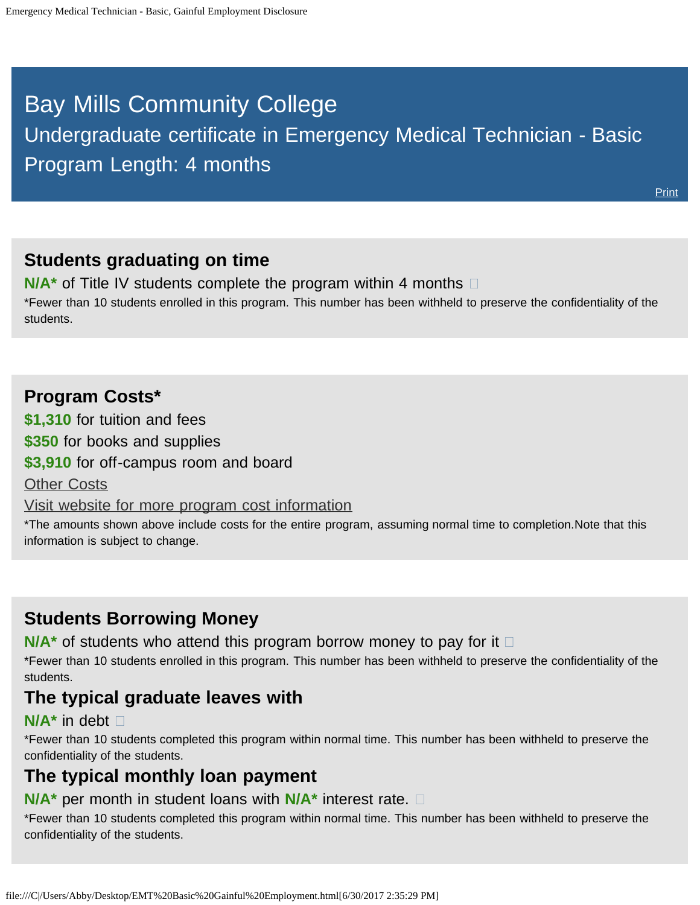# <span id="page-0-0"></span>Bay Mills Community College

# Undergraduate certificate in Emergency Medical Technician - Basic Program Length: 4 months

**[Print](file:///C|/Users/Abby/Desktop/51.0810-GedtPrint.html)** 

## **Students graduating on time**

**N/A<sup>\*</sup>** of Title IV students complete the program within 4 months  $\Box$ \*Fewer than 10 students enrolled in this program. This number has been withheld to preserve the confidentiality of the students.

### **Program Costs\***

**\$1,310** for tuition and fees

**\$350** for books and supplies

**\$3,910** for off-campus room and board

**[Other Costs](#page-0-0)** 

[Visit website for more program cost information](http://bmcc.edu/admissions/financial-aid/understanding-tuition)

\*The amounts shown above include costs for the entire program, assuming normal time to completion.Note that this information is subject to change.

# **Students Borrowing Money**

**N/A<sup>\*</sup>** of students who attend this program borrow money to pay for it  $\Box$ 

\*Fewer than 10 students enrolled in this program. This number has been withheld to preserve the confidentiality of the students.

### **The typical graduate leaves with**

#### **N/A\*** in debt

\*Fewer than 10 students completed this program within normal time. This number has been withheld to preserve the confidentiality of the students.

# **The typical monthly loan payment**

#### **N/A\*** per month in student loans with **N/A\*** interest rate.

\*Fewer than 10 students completed this program within normal time. This number has been withheld to preserve the confidentiality of the students.